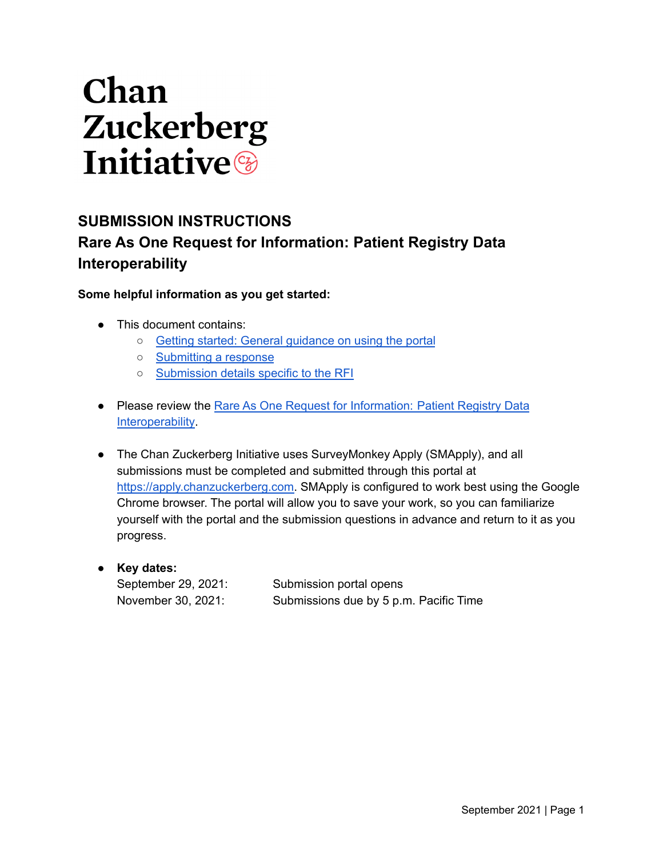# Chan Zuckerberg **Initiative**

### **SUBMISSION INSTRUCTIONS Rare As One Request for Information: Patient Registry Data Interoperability**

**Some helpful information as you get started:**

- This document contains:
	- Getting started: General [guidance](#page-1-0) on using the portal
	- [Submitting](#page-2-0) a response
	- [Submission](#page-3-0) details specific to the RFI
- Please review the Rare As One Request for [Information:](https://chanzuckerberg.com/rfa/rare-as-one-request-for-information-patient-registry-data-interoperability/) Patient Registry Data [Interoperability](https://chanzuckerberg.com/rfa/rare-as-one-request-for-information-patient-registry-data-interoperability/).
- The Chan Zuckerberg Initiative uses SurveyMonkey Apply (SMApply), and all submissions must be completed and submitted through this portal at [https://apply.chanzuckerberg.com.](https://apply.chanzuckerberg.com) SMApply is configured to work best using the Google Chrome browser. The portal will allow you to save your work, so you can familiarize yourself with the portal and the submission questions in advance and return to it as you progress.
- **Key dates:** September 29, 2021: Submission portal opens November 30, 2021: Submissions due by 5 p.m. Pacific Time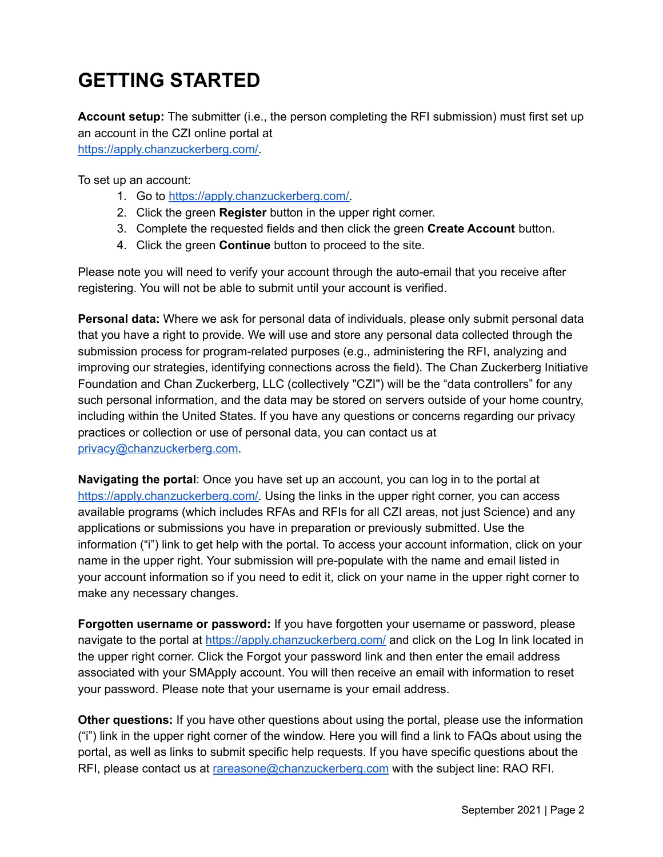# <span id="page-1-0"></span>**GETTING STARTED**

**Account setup:** The submitter (i.e., the person completing the RFI submission) must first set up an account in the CZI online portal at

[https://apply.chanzuckerberg.com/.](https://apply.chanzuckerberg.com/)

To set up an account:

- 1. Go to [https://apply.chanzuckerberg.com/.](https://apply.chanzuckerberg.com/)
- 2. Click the green **Register** button in the upper right corner.
- 3. Complete the requested fields and then click the green **Create Account** button.
- 4. Click the green **Continue** button to proceed to the site.

Please note you will need to verify your account through the auto-email that you receive after registering. You will not be able to submit until your account is verified.

**Personal data:** Where we ask for personal data of individuals, please only submit personal data that you have a right to provide. We will use and store any personal data collected through the submission process for program-related purposes (e.g., administering the RFI, analyzing and improving our strategies, identifying connections across the field). The Chan Zuckerberg Initiative Foundation and Chan Zuckerberg, LLC (collectively "CZI") will be the "data controllers" for any such personal information, and the data may be stored on servers outside of your home country, including within the United States. If you have any questions or concerns regarding our privacy practices or collection or use of personal data, you can contact us at [privacy@chanzuckerberg.com](mailto:privacy@chanzuckerberg.com).

**Navigating the portal**: Once you have set up an account, you can log in to the portal at [https://apply.chanzuckerberg.com/.](https://apply.chanzuckerberg.com/) Using the links in the upper right corner, you can access available programs (which includes RFAs and RFIs for all CZI areas, not just Science) and any applications or submissions you have in preparation or previously submitted. Use the information ("i") link to get help with the portal. To access your account information, click on your name in the upper right. Your submission will pre-populate with the name and email listed in your account information so if you need to edit it, click on your name in the upper right corner to make any necessary changes.

**Forgotten username or password:** If you have forgotten your username or password, please navigate to the portal at <https://apply.chanzuckerberg.com/> and click on the Log In link located in the upper right corner. Click the Forgot your password link and then enter the email address associated with your SMApply account. You will then receive an email with information to reset your password. Please note that your username is your email address.

**Other questions:** If you have other questions about using the portal, please use the information ("i") link in the upper right corner of the window. Here you will find a link to FAQs about using the portal, as well as links to submit specific help requests. If you have specific questions about the RFI, please contact us at [rareasone@chanzuckerberg.com](mailto:rareasone@chanzuckerberg.com) with the subject line: RAO RFI.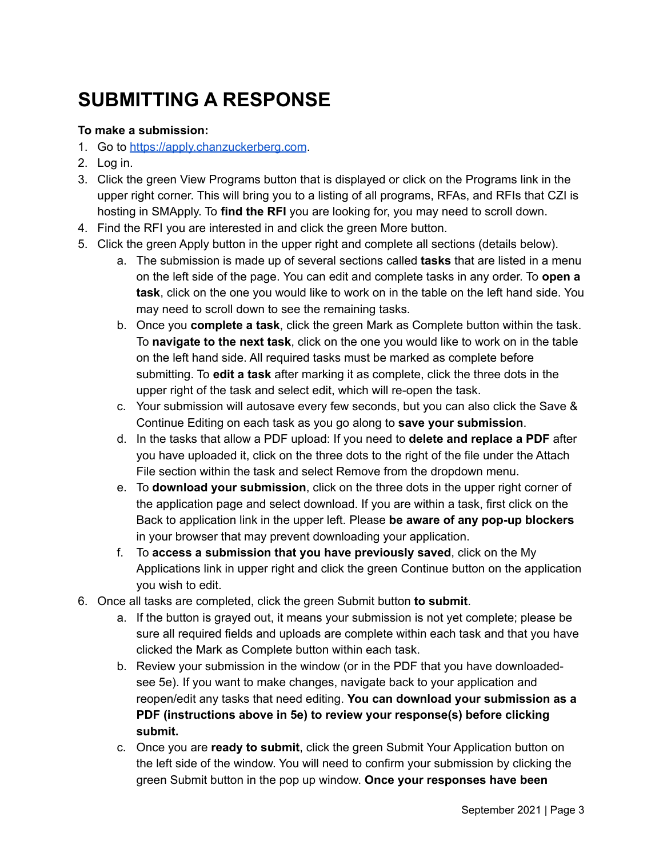# <span id="page-2-0"></span>**SUBMITTING A RESPONSE**

#### **To make a submission:**

- 1. Go to <https://apply.chanzuckerberg.com>.
- 2. Log in.
- 3. Click the green View Programs button that is displayed or click on the Programs link in the upper right corner. This will bring you to a listing of all programs, RFAs, and RFIs that CZI is hosting in SMApply. To **find the RFI** you are looking for, you may need to scroll down.
- 4. Find the RFI you are interested in and click the green More button.
- 5. Click the green Apply button in the upper right and complete all sections (details below).
	- a. The submission is made up of several sections called **tasks** that are listed in a menu on the left side of the page. You can edit and complete tasks in any order. To **open a task**, click on the one you would like to work on in the table on the left hand side. You may need to scroll down to see the remaining tasks.
	- b. Once you **complete a task**, click the green Mark as Complete button within the task. To **navigate to the next task**, click on the one you would like to work on in the table on the left hand side. All required tasks must be marked as complete before submitting. To **edit a task** after marking it as complete, click the three dots in the upper right of the task and select edit, which will re-open the task.
	- c. Your submission will autosave every few seconds, but you can also click the Save & Continue Editing on each task as you go along to **save your submission**.
	- d. In the tasks that allow a PDF upload: If you need to **delete and replace a PDF** after you have uploaded it, click on the three dots to the right of the file under the Attach File section within the task and select Remove from the dropdown menu.
	- e. To **download your submission**, click on the three dots in the upper right corner of the application page and select download. If you are within a task, first click on the Back to application link in the upper left. Please **be aware of any pop-up blockers** in your browser that may prevent downloading your application.
	- f. To **access a submission that you have previously saved**, click on the My Applications link in upper right and click the green Continue button on the application you wish to edit.
- 6. Once all tasks are completed, click the green Submit button **to submit**.
	- a. If the button is grayed out, it means your submission is not yet complete; please be sure all required fields and uploads are complete within each task and that you have clicked the Mark as Complete button within each task.
	- b. Review your submission in the window (or in the PDF that you have downloadedsee 5e). If you want to make changes, navigate back to your application and reopen/edit any tasks that need editing. **You can download your submission as a PDF (instructions above in 5e) to review your response(s) before clicking submit.**
	- c. Once you are **ready to submit**, click the green Submit Your Application button on the left side of the window. You will need to confirm your submission by clicking the green Submit button in the pop up window. **Once your responses have been**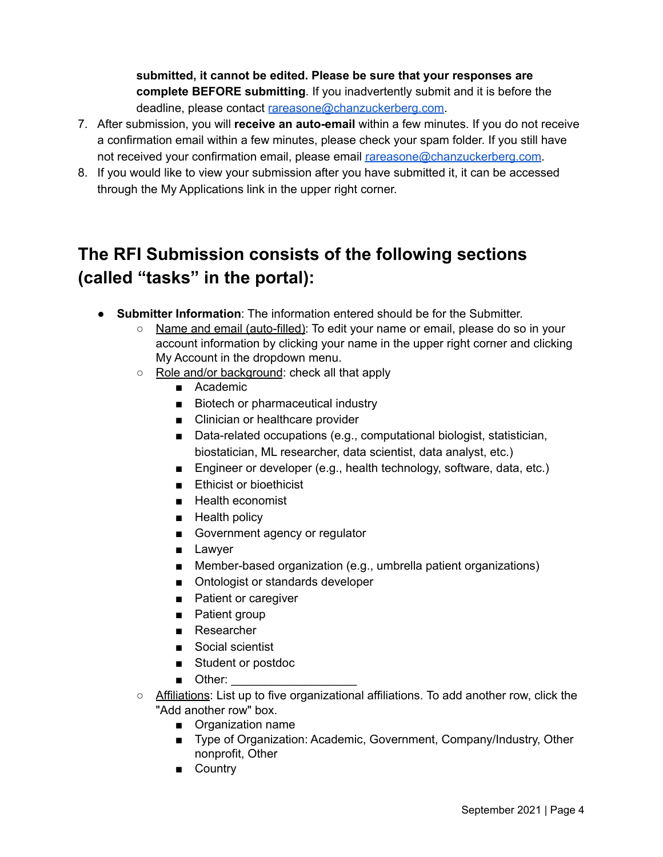**submitted, it cannot be edited. Please be sure that your responses are complete BEFORE submitting**. If you inadvertently submit and it is before the deadline, please contact [rareasone@chanzuckerberg.com](mailto:rareasone@chanzuckerberg.com).

- 7. After submission, you will **receive an auto-email** within a few minutes. If you do not receive a confirmation email within a few minutes, please check your spam folder. If you still have not received your confirmation email, please email [rareasone@chanzuckerberg.com](mailto:rareasone@chanzuckerberg.com).
- 8. If you would like to view your submission after you have submitted it, it can be accessed through the My Applications link in the upper right corner.

## <span id="page-3-0"></span>**The RFI Submission consists of the following sections (called "tasks" in the portal):**

- **Submitter Information**: The information entered should be for the Submitter.
	- Name and email (auto-filled): To edit your name or email, please do so in your account information by clicking your name in the upper right corner and clicking My Account in the dropdown menu.
	- Role and/or background: check all that apply
		- Academic
		- Biotech or pharmaceutical industry
		- Clinician or healthcare provider
		- Data-related occupations (e.g., computational biologist, statistician, biostatician, ML researcher, data scientist, data analyst, etc.)
		- Engineer or developer (e.g., health technology, software, data, etc.)
		- Ethicist or bioethicist
		- Health economist
		- Health policy
		- Government agency or regulator
		- Lawyer
		- Member-based organization (e.g., umbrella patient organizations)
		- Ontologist or standards developer
		- Patient or caregiver
		- Patient group
		- Researcher
		- Social scientist
		- Student or postdoc
		- Other:
	- Affiliations: List up to five organizational affiliations. To add another row, click the "Add another row" box.
		- Organization name
		- Type of Organization: Academic, Government, Company/Industry, Other nonprofit, Other
		- Country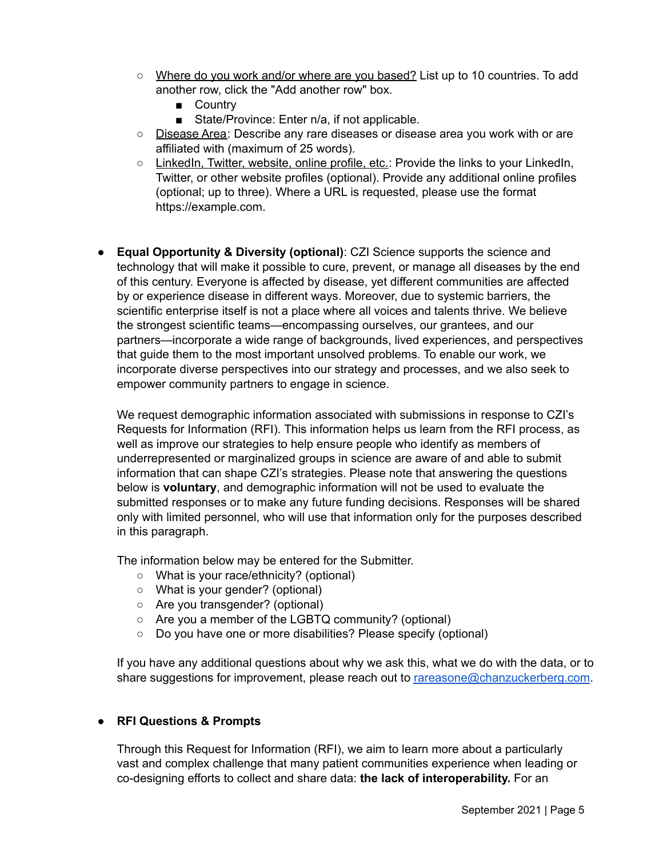- Where do you work and/or where are you based? List up to 10 countries. To add another row, click the "Add another row" box.
	- Country
	- State/Province: Enter n/a, if not applicable.
- Disease Area: Describe any rare diseases or disease area you work with or are affiliated with (maximum of 25 words).
- LinkedIn, Twitter, website, online profile, etc.: Provide the links to your LinkedIn, Twitter, or other website profiles (optional). Provide any additional online profiles (optional; up to three). Where a URL is requested, please use the format https://example.com.
- **Equal Opportunity & Diversity (optional)**: CZI Science supports the science and technology that will make it possible to cure, prevent, or manage all diseases by the end of this century. Everyone is affected by disease, yet different communities are affected by or experience disease in different ways. Moreover, due to systemic barriers, the scientific enterprise itself is not a place where all voices and talents thrive. We believe the strongest scientific teams—encompassing ourselves, our grantees, and our partners—incorporate a wide range of backgrounds, lived experiences, and perspectives that guide them to the most important unsolved problems. To enable our work, we incorporate diverse perspectives into our strategy and processes, and we also seek to empower community partners to engage in science.

We request demographic information associated with submissions in response to CZI's Requests for Information (RFI). This information helps us learn from the RFI process, as well as improve our strategies to help ensure people who identify as members of underrepresented or marginalized groups in science are aware of and able to submit information that can shape CZI's strategies. Please note that answering the questions below is **voluntary**, and demographic information will not be used to evaluate the submitted responses or to make any future funding decisions. Responses will be shared only with limited personnel, who will use that information only for the purposes described in this paragraph.

The information below may be entered for the Submitter.

- What is your race/ethnicity? (optional)
- What is your gender? (optional)
- Are you transgender? (optional)
- Are you a member of the LGBTQ community? (optional)
- Do you have one or more disabilities? Please specify (optional)

If you have any additional questions about why we ask this, what we do with the data, or to share suggestions for improvement, please reach out to [rareasone@chanzuckerberg.com](mailto:rareasone@chanzuckerberg.com).

#### ● **RFI Questions & Prompts**

Through this Request for Information (RFI), we aim to learn more about a particularly vast and complex challenge that many patient communities experience when leading or co-designing efforts to collect and share data: **the lack of interoperability.** For an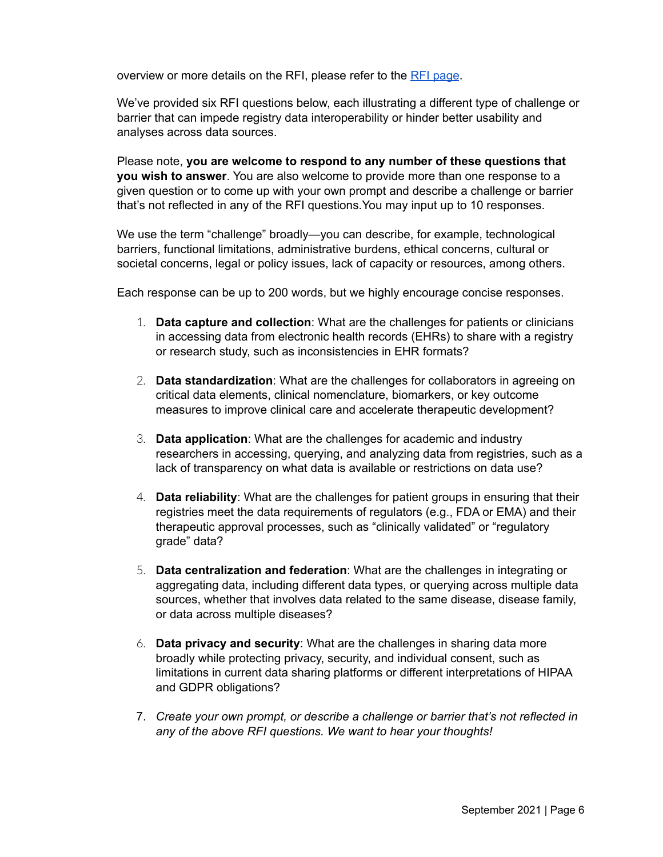overview or more details on the RFI, please refer to the RFI [page](https://chanzuckerberg.com/rfa/rare-as-one-request-for-information-patient-registry-data-interoperability/).

We've provided six RFI questions below, each illustrating a different type of challenge or barrier that can impede registry data interoperability or hinder better usability and analyses across data sources.

Please note, **you are welcome to respond to any number of these questions that you wish to answer**. You are also welcome to provide more than one response to a given question or to come up with your own prompt and describe a challenge or barrier that's not reflected in any of the RFI questions.You may input up to 10 responses.

We use the term "challenge" broadly—you can describe, for example, technological barriers, functional limitations, administrative burdens, ethical concerns, cultural or societal concerns, legal or policy issues, lack of capacity or resources, among others.

Each response can be up to 200 words, but we highly encourage concise responses.

- 1. **Data capture and collection**: What are the challenges for patients or clinicians in accessing data from electronic health records (EHRs) to share with a registry or research study, such as inconsistencies in EHR formats?
- 2. **Data standardization**: What are the challenges for collaborators in agreeing on critical data elements, clinical nomenclature, biomarkers, or key outcome measures to improve clinical care and accelerate therapeutic development?
- 3. **Data application**: What are the challenges for academic and industry researchers in accessing, querying, and analyzing data from registries, such as a lack of transparency on what data is available or restrictions on data use?
- 4. **Data reliability**: What are the challenges for patient groups in ensuring that their registries meet the data requirements of regulators (e.g., FDA or EMA) and their therapeutic approval processes, such as "clinically validated" or "regulatory grade" data?
- 5. **Data centralization and federation**: What are the challenges in integrating or aggregating data, including different data types, or querying across multiple data sources, whether that involves data related to the same disease, disease family, or data across multiple diseases?
- 6. **Data privacy and security**: What are the challenges in sharing data more broadly while protecting privacy, security, and individual consent, such as limitations in current data sharing platforms or different interpretations of HIPAA and GDPR obligations?
- 7. *Create your own prompt, or describe a challenge or barrier that's not reflected in any of the above RFI questions. We want to hear your thoughts!*